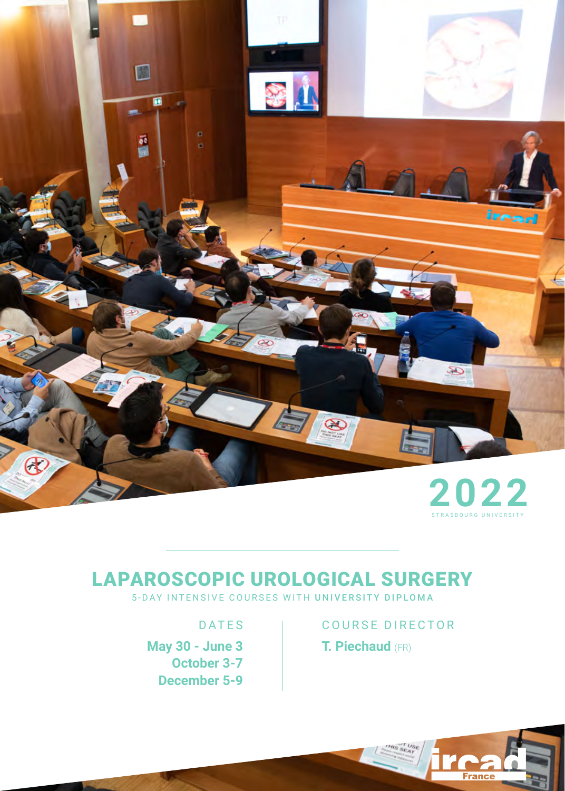

### LAPAROSCOPIC UROLOGICAL SURGERY

5-DAY INTENSIVE COURSES WITH UNIVERSITY DIPLOMA

**May 30 - June 3 October 3-7 December 5-9**

### DATES | COURSE DIRECTOR **T. Piechaud** (FR)

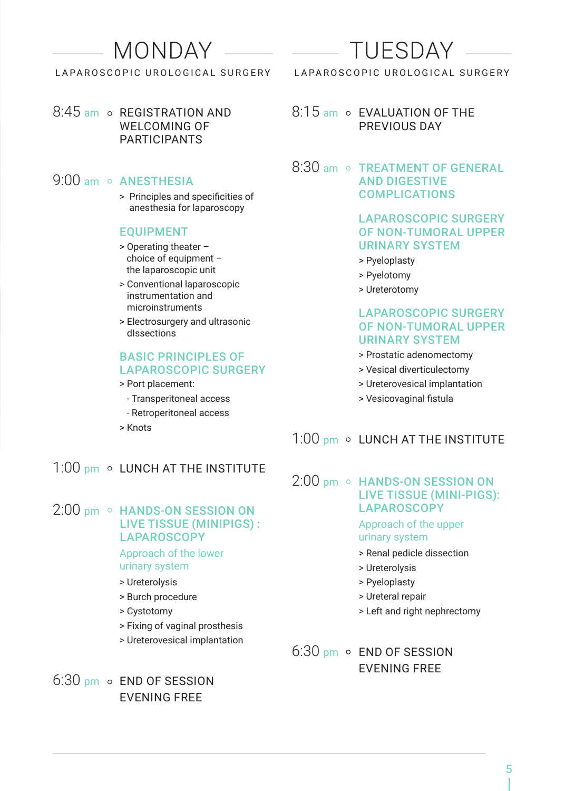### MONDAY

#### LAPAROSCOPIC UROLOGICAL SURGERY

8:45 am o REGISTRATION AND WELCOMING OF **PARTICIPANTS** 

#### 9:00 am o ANESTHESIA

> Principles and specificities of anesthesia for laparoscopy

#### EQUIPMENT

- > Operating theater choice of equipment – the laparoscopic unit
- > Conventional laparoscopic instrumentation and microinstruments
- > Electrosurgery and ultrasonic dIssections

#### BASIC PRINCIPLES OF LAPAROSCOPIC SURGERY

- > Port placement:
	- Transperitoneal access
	- Retroperitoneal access
- > Knots

#### 1:00 pm o LUNCH AT THE INSTITUTE

#### $2:00$  pm  $\circ$  HANDS-ON SESSION ON LIVE TISSUE (MINIPIGS) : **LAPAROSCOPY**

Approach of the lower urinary system

- > Ureterolysis
- > Burch procedure
- > Cystotomy
- > Fixing of vaginal prosthesis
- > Ureterovesical implantation

 $6:30$  pm  $\circ$  END OF SESSION EVENING FREE

# TUESDAY

#### LAPAROSCOPIC UROLOGICAL SURGERY

#### 8:15 am o EVALUATION OF THE PREVIOUS DAY

#### $8:30$  am  $\circ$  TREATMENT OF GENERAL AND DIGESTIVE COMPLICATIONS

#### LAPAROSCOPIC SURGERY OF NON-TUMORAL UPPER URINARY SYSTEM

- > Pyeloplasty
- > Pyelotomy
- > Ureterotomy

#### LAPAROSCOPIC SURGERY OF NON-TUMORAL UPPER URINARY SYSTEM

- > Prostatic adenomectomy
- > Vesical diverticulectomy
- > Ureterovesical implantation
- > Vesicovaginal fistula

#### $1:00$  pm  $\circ$  LUNCH AT THE INSTITUTE

#### $2:00$  pm  $\circ$  HANDS-ON SESSION ON LIVE TISSUE (MINI-PIGS): **LAPAROSCOPY**

#### Approach of the upper urinary system

- > Renal pedicle dissection
- > Ureterolysis
- > Pyeloplasty
- > Ureteral repair
- > Left and right nephrectomy

#### 6:30 pm o END OF SESSION EVENING FREE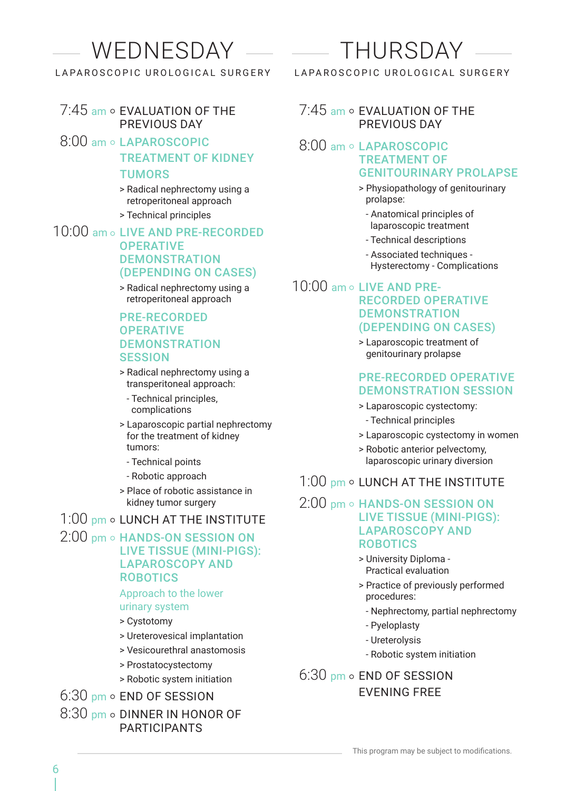## WEDNESDAY

LAPAROSCOPIC UROLOGICAL SURGERY

#### $7:45$  am  $\circ$  EVALUATION OF THE PREVIOUS DAY

- 8:00 am o LAPAROSCOPIC TREATMENT OF KIDNEY TUMORS
	- > Radical nephrectomy using a retroperitoneal approach
	- > Technical principles

#### 10:00 am o LIVE AND PRE-RECORDED **OPERATIVE DEMONSTRATION** (DEPENDING ON CASES)

> Radical nephrectomy using a retroperitoneal approach

#### PRE-RECORDED **OPERATIVE DEMONSTRATION SESSION**

- > Radical nephrectomy using a transperitoneal approach:
	- Technical principles, complications
- > Laparoscopic partial nephrectomy for the treatment of kidney tumors:
	- Technical points
- Robotic approach
- > Place of robotic assistance in kidney tumor surgery

 $1:00$  pm  $\circ$  LUNCH AT THE INSTITUTE

#### 2:00 pm o HANDS-ON SESSION ON LIVE TISSUE (MINI-PIGS): LAPAROSCOPY AND ROBOTICS

#### Approach to the lower

- urinary system
- > Cystotomy
- > Ureterovesical implantation
- > Vesicourethral anastomosis
- > Prostatocystectomy
- > Robotic system initiation

6:30 pm o END OF SESSION

8:30 pm o DINNER IN HONOR OF PARTICIPANTS

# THURSDAY

LAPAROSCOPIC UROLOGICAL SURGERY

#### $7:45$  am  $\circ$  FVALUATION OF THE PREVIOUS DAY

#### 8:00 am ○ LAPAROSCOPIC TREATMENT OF GENITOURINARY PROLAPSE

- > Physiopathology of genitourinary prolapse:
	- Anatomical principles of laparoscopic treatment
	- Technical descriptions
	- Associated techniques Hysterectomy - Complications

#### $10:00$  am  $\circ$  LIVE AND PRE-RECORDED OPERATIVE **DEMONSTRATION** (DEPENDING ON CASES)

> Laparoscopic treatment of genitourinary prolapse

#### PRE-RECORDED OPERATIVE DEMONSTRATION SESSION

- > Laparoscopic cystectomy:
	- Technical principles
- > Laparoscopic cystectomy in women
- > Robotic anterior pelvectomy, laparoscopic urinary diversion

#### $1:00$  pm  $\circ$  LUNCH AT THE INSTITUTE

#### 2:00 pm o HANDS-ON SESSION ON LIVE TISSUE (MINI-PIGS): LAPAROSCOPY AND ROBOTICS

- > University Diploma Practical evaluation
- > Practice of previously performed procedures:
	- Nephrectomy, partial nephrectomy
	- Pyeloplasty
	- Ureterolysis
	- Robotic system initiation

#### $6:30$  pm  $\circ$  END OF SESSION EVENING FREE